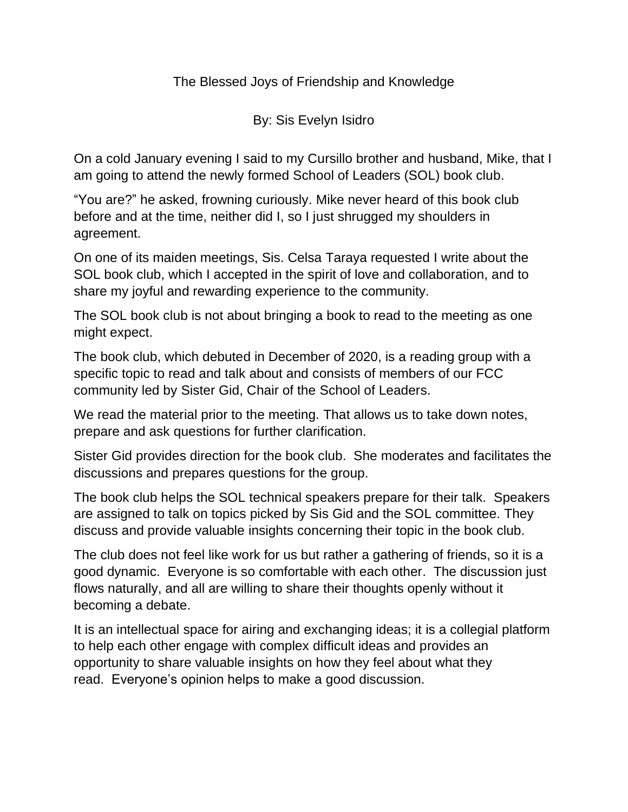The Blessed Joys of Friendship and Knowledge

By: Sis Evelyn Isidro

On a cold January evening I said to my Cursillo brother and husband, Mike, that I am going to attend the newly formed School of Leaders (SOL) book club.

"You are?" he asked, frowning curiously. Mike never heard of this book club before and at the time, neither did I, so I just shrugged my shoulders in agreement.

On one of its maiden meetings, Sis. Celsa Taraya requested I write about the SOL book club, which I accepted in the spirit of love and collaboration, and to share my joyful and rewarding experience to the community.

The SOL book club is not about bringing a book to read to the meeting as one might expect.

The book club, which debuted in December of 2020, is a reading group with a specific topic to read and talk about and consists of members of our FCC community led by Sister Gid, Chair of the School of Leaders.

We read the material prior to the meeting. That allows us to take down notes, prepare and ask questions for further clarification.

Sister Gid provides direction for the book club. She moderates and facilitates the discussions and prepares questions for the group.

The book club helps the SOL technical speakers prepare for their talk. Speakers are assigned to talk on topics picked by Sis Gid and the SOL committee. They discuss and provide valuable insights concerning their topic in the book club.

The club does not feel like work for us but rather a gathering of friends, so it is a good dynamic. Everyone is so comfortable with each other. The discussion just flows naturally, and all are willing to share their thoughts openly without it becoming a debate.

It is an intellectual space for airing and exchanging ideas; it is a collegial platform to help each other engage with complex difficult ideas and provides an opportunity to share valuable insights on how they feel about what they read. Everyone's opinion helps to make a good discussion.